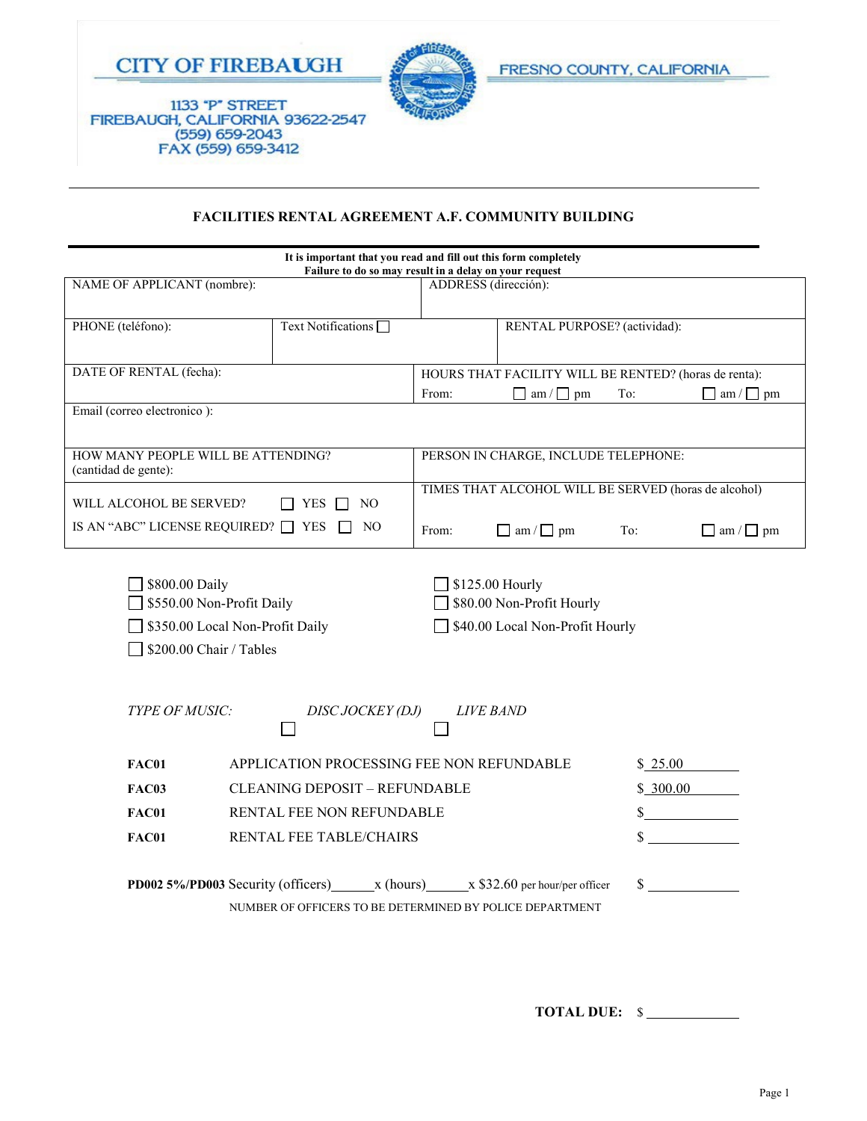



1133 "P" STREET<br>FIREBAUGH, CALIFORNIA 93622-2547 (559) 659-2043<br>FAX (559) 659-3412

## **FACILITIES RENTAL AGREEMENT A.F. COMMUNITY BUILDING**

| It is important that you read and fill out this form completely<br>Failure to do so may result in a delay on your request                                                                    |                                                                                        |                                                       |                              |     |                       |
|----------------------------------------------------------------------------------------------------------------------------------------------------------------------------------------------|----------------------------------------------------------------------------------------|-------------------------------------------------------|------------------------------|-----|-----------------------|
| NAME OF APPLICANT (nombre):                                                                                                                                                                  |                                                                                        | ADDRESS (dirección):                                  |                              |     |                       |
| PHONE (teléfono):                                                                                                                                                                            | Text Notifications <sup>[1]</sup>                                                      |                                                       | RENTAL PURPOSE? (actividad): |     |                       |
| DATE OF RENTAL (fecha):                                                                                                                                                                      |                                                                                        | HOURS THAT FACILITY WILL BE RENTED? (horas de renta): |                              |     |                       |
|                                                                                                                                                                                              |                                                                                        | From:                                                 | $\Box$ am / $\Box$ pm        | To: | $\Box$ am / $\Box$ pm |
| Email (correo electronico):                                                                                                                                                                  |                                                                                        |                                                       |                              |     |                       |
| HOW MANY PEOPLE WILL BE ATTENDING?<br>(cantidad de gente):                                                                                                                                   |                                                                                        | PERSON IN CHARGE, INCLUDE TELEPHONE:                  |                              |     |                       |
| WILL ALCOHOL BE SERVED?                                                                                                                                                                      | TIMES THAT ALCOHOL WILL BE SERVED (horas de alcohol)                                   |                                                       |                              |     |                       |
| IS AN "ABC" LICENSE REQUIRED? $\Box$ YES $\Box$                                                                                                                                              | NO <sub>1</sub>                                                                        | From:                                                 | $\Box$ am / $\Box$ pm        | To: | $\Box$ am / $\Box$ pm |
| \$800.00 Daily<br>\$125.00 Hourly<br>\$80.00 Non-Profit Hourly<br>\$550.00 Non-Profit Daily<br>\$350.00 Local Non-Profit Daily<br>\$40.00 Local Non-Profit Hourly<br>\$200.00 Chair / Tables |                                                                                        |                                                       |                              |     |                       |
| TYPE OF MUSIC:<br><b>LIVE BAND</b><br><i>DISC JOCKEY (DJ)</i>                                                                                                                                |                                                                                        |                                                       |                              |     |                       |
| FAC01                                                                                                                                                                                        | APPLICATION PROCESSING FEE NON REFUNDABLE                                              |                                                       | \$25.00                      |     |                       |
| <b>FAC03</b>                                                                                                                                                                                 | <b>CLEANING DEPOSIT - REFUNDABLE</b>                                                   |                                                       | \$300.00                     |     |                       |
| <b>FAC01</b>                                                                                                                                                                                 | RENTAL FEE NON REFUNDABLE                                                              |                                                       | $\sim$                       |     |                       |
| FAC01                                                                                                                                                                                        | RENTAL FEE TABLE/CHAIRS                                                                |                                                       | \$                           |     |                       |
|                                                                                                                                                                                              | <b>PD002 5%/PD003</b> Security (officers) $x$ (hours) $x$ \$32.60 per hour/per officer |                                                       |                              | \$  |                       |
|                                                                                                                                                                                              | NUMBER OF OFFICERS TO BE DETERMINED BY POLICE DEPARTMENT                               |                                                       |                              |     |                       |

**TOTAL DUE:** \$